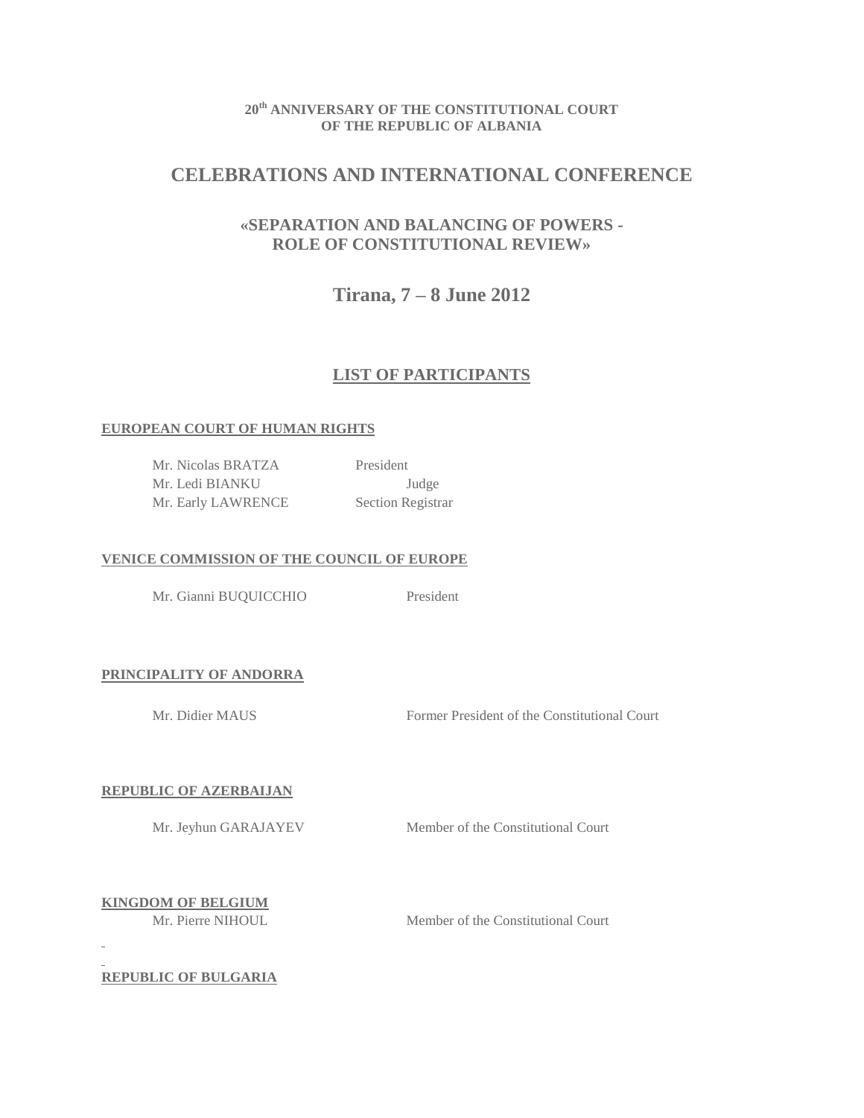## **20th ANNIVERSARY OF THE CONSTITUTIONAL COURT OF THE REPUBLIC OF ALBANIA**

# **CELEBRATIONS AND INTERNATIONAL CONFERENCE**

# **«SEPARATION AND BALANCING OF POWERS - ROLE OF CONSTITUTIONAL REVIEW»**

**Tirana, 7 – 8 June 2012** 

# **LIST OF PARTICIPANTS**

## **EUROPEAN COURT OF HUMAN RIGHTS**

Mr. Nicolas BRATZA President Mr. Ledi BIANKU Judge Mr. Early LAWRENCE Section Registrar

## **VENICE COMMISSION OF THE COUNCIL OF EUROPE**

Mr. Gianni BUQUICCHIO President

## **PRINCIPALITY OF ANDORRA**

Mr. Didier MAUS Former President of the Constitutional Court

## **REPUBLIC OF AZERBAIJAN**

Mr. Jeyhun GARAJAYEV Member of the Constitutional Court

**KINGDOM OF BELGIUM**

Mr. Pierre NIHOUL Member of the Constitutional Court

**REPUBLIC OF BULGARIA**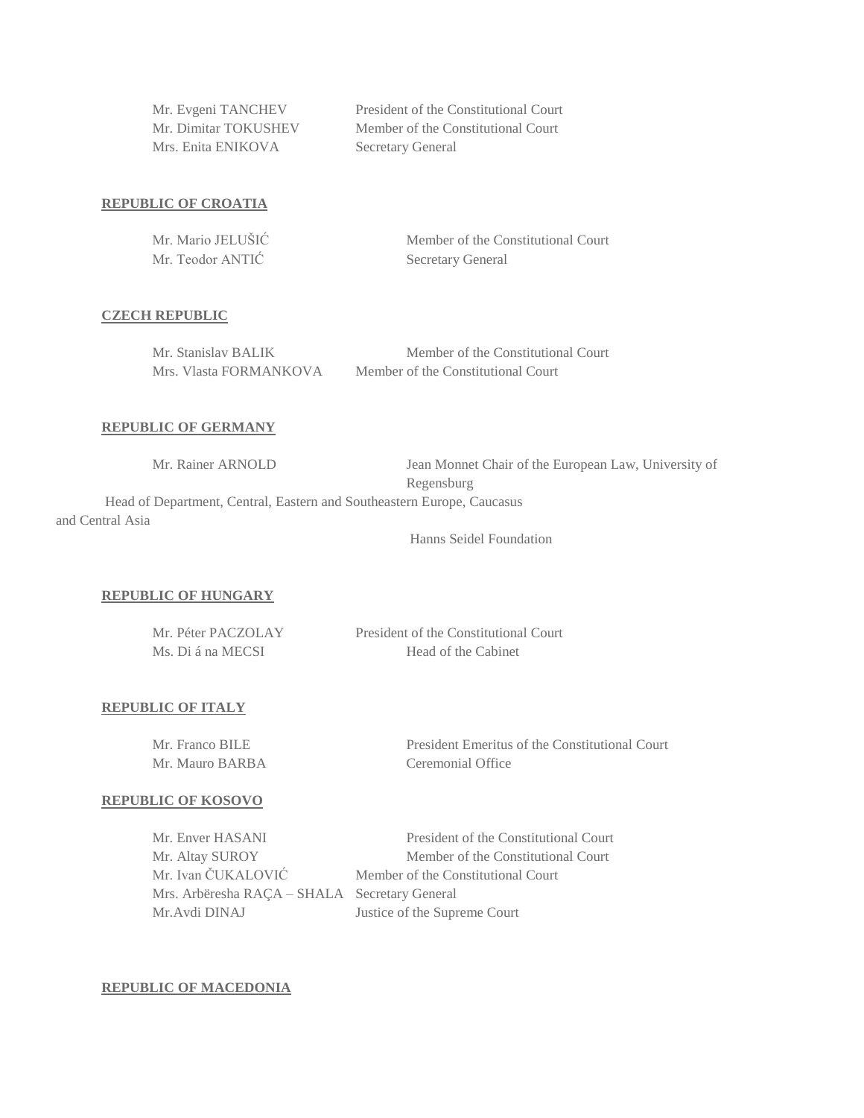Mrs. Enita ENIKOVA Secretary General

Mr. Evgeni TANCHEV President of the Constitutional Court Mr. Dimitar TOKUSHEV Member of the Constitutional Court

## **REPUBLIC OF CROATIA**

| Mr. Mario JELUŠIĆ | Member of the Constitutional Court |
|-------------------|------------------------------------|
| Mr. Teodor ANTIC  | <b>Secretary General</b>           |

#### **CZECH REPUBLIC**

| Mr. Stanislav BALIK    | Member of the Constitutional Court |
|------------------------|------------------------------------|
| Mrs. Vlasta FORMANKOVA | Member of the Constitutional Court |

### **REPUBLIC OF GERMANY**

| Mr. Rainer ARNOLD                                                      | Jean Monnet Chair of the European Law, University of |
|------------------------------------------------------------------------|------------------------------------------------------|
|                                                                        | Regensburg                                           |
| Head of Department, Central, Eastern and Southeastern Europe, Caucasus |                                                      |
| and Central Asia                                                       |                                                      |

Hanns Seidel Foundation

### **REPUBLIC OF HUNGARY**

| Mr. Péter PACZOLAY | President of the Constitutional Court |
|--------------------|---------------------------------------|
| Ms. Di á na MECSI  | Head of the Cabinet                   |

#### **REPUBLIC OF ITALY**

| Mr. Franco BILE | President Emeritus of the Constitutional Court |
|-----------------|------------------------------------------------|
| Mr. Mauro BARBA | Ceremonial Office                              |

#### **REPUBLIC OF KOSOVO**

| Mr. Enver HASANI                              | President of the Constitutional Court |
|-----------------------------------------------|---------------------------------------|
| Mr. Altay SUROY                               | Member of the Constitutional Court    |
| Mr. Ivan ČUKALOVIĆ                            | Member of the Constitutional Court    |
| Mrs. Arbëresha RAÇA – SHALA Secretary General |                                       |
| Mr. Avdi DINAJ                                | Justice of the Supreme Court          |

#### **REPUBLIC OF MACEDONIA**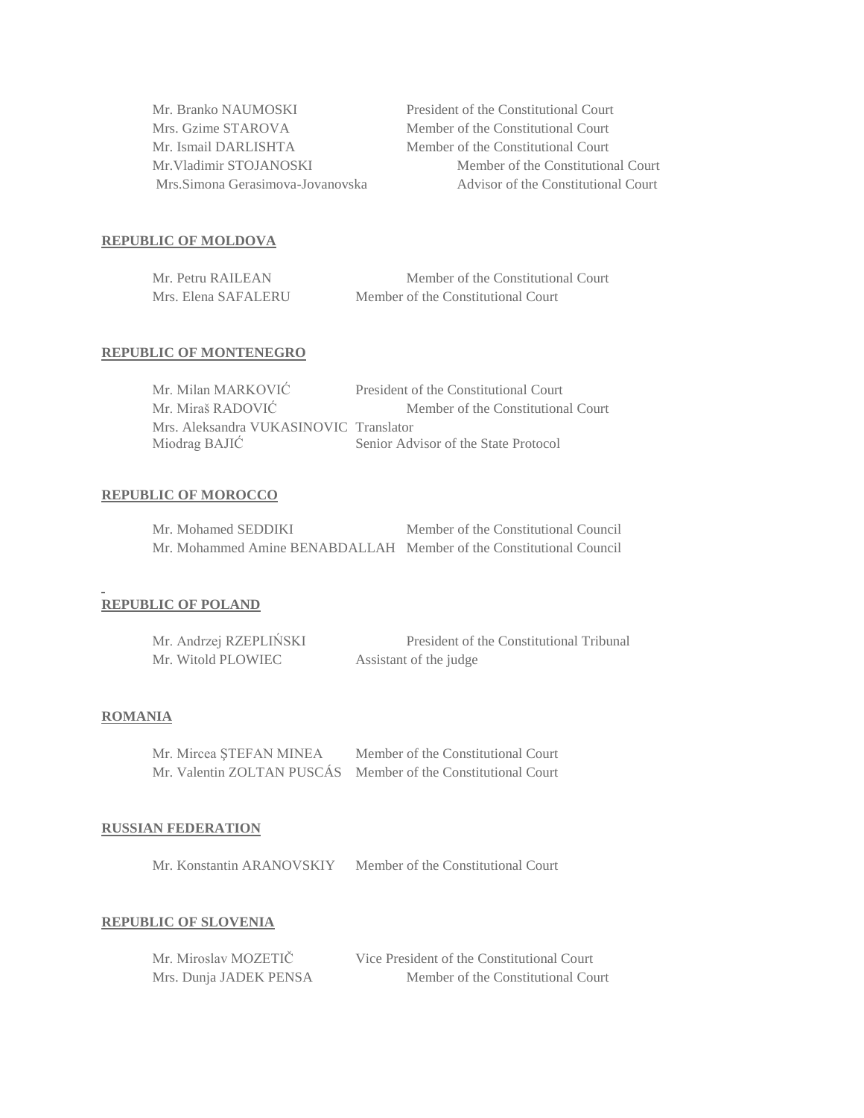| Mrs. Gzime STAROVA<br>Mr. Ismail DARLISHTA<br>Mr. Vladimir STOJANOSKI<br>Mrs. Simona Gerasimova-Jovanovska | Mr. Branko NAUMOSKI | President of the Co |
|------------------------------------------------------------------------------------------------------------|---------------------|---------------------|
|                                                                                                            |                     | Member of the Co    |
|                                                                                                            |                     | Member of the Co    |
|                                                                                                            |                     | Member o            |
|                                                                                                            |                     | Advisor c           |

onstitutional Court mstitutional Court mstitutional Court of the Constitutional Court of the Constitutional Court

### **REPUBLIC OF MOLDOVA**

| Mr. Petru RAILEAN   | Member of the Constitutional Court |
|---------------------|------------------------------------|
| Mrs. Elena SAFALERU | Member of the Constitutional Court |

#### **REPUBLIC OF MONTENEGRO**

| Mr. Milan MARKOVIĆ                     | President of the Constitutional Court |
|----------------------------------------|---------------------------------------|
| Mr. Miraš RADOVIĆ                      | Member of the Constitutional Court    |
| Mrs. Aleksandra VUKASINOVIC Translator |                                       |
| Miodrag BAJIĆ                          | Senior Advisor of the State Protocol  |

#### **REPUBLIC OF MOROCCO**

| Mr. Mohamed SEDDIKI                                                 | Member of the Constitutional Council |
|---------------------------------------------------------------------|--------------------------------------|
| Mr. Mohammed Amine BENABDALLAH Member of the Constitutional Council |                                      |

## **REPUBLIC OF POLAND**

| Mr. Andrzej RZEPLIŃSKI | President of the Constitutional Tribunal |
|------------------------|------------------------------------------|
| Mr. Witold PLOWIEC     | Assistant of the judge                   |

## **ROMANIA**

| Mr. Mircea ȘTEFAN MINEA    | Member of the Constitutional Court |
|----------------------------|------------------------------------|
| Mr. Valentin ZOLTAN PUSCÁS | Member of the Constitutional Court |

#### **RUSSIAN FEDERATION**

Mr. Konstantin ARANOVSKIY Member of the Constitutional Court

#### **REPUBLIC OF SLOVENIA**

| Mr. Miroslav MOZETIČ   | Vice President of the Constitutional Court |
|------------------------|--------------------------------------------|
| Mrs. Dunja JADEK PENSA | Member of the Constitutional Court         |